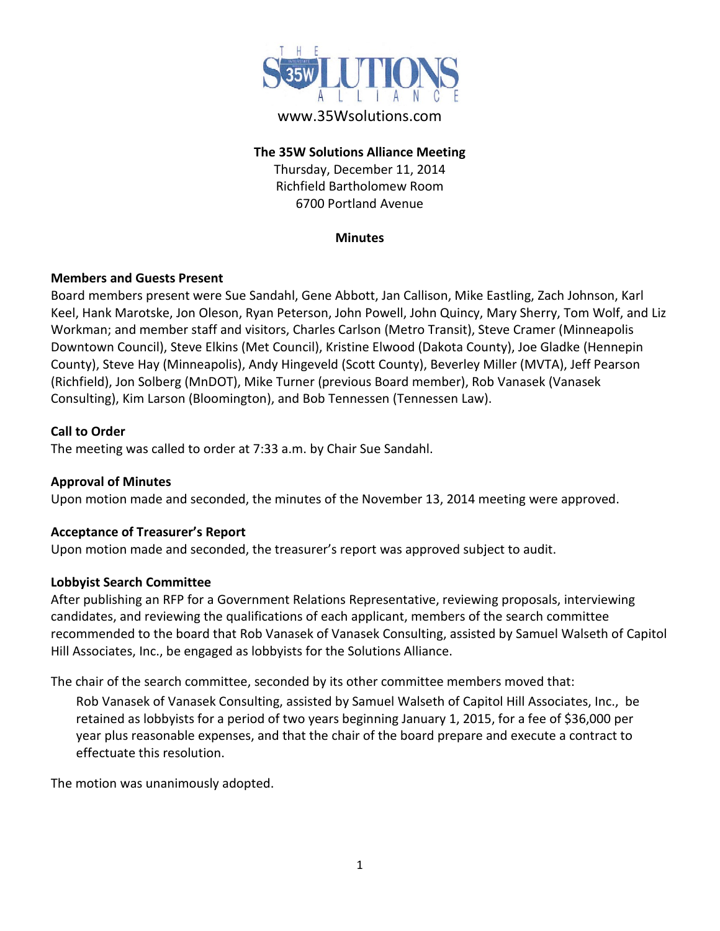

# www.35Wsolutions.com

## **The 35W Solutions Alliance Meeting**

Thursday, December 11, 2014 Richfield Bartholomew Room 6700 Portland Avenue

#### **Minutes**

### **Members and Guests Present**

Board members present were Sue Sandahl, Gene Abbott, Jan Callison, Mike Eastling, Zach Johnson, Karl Keel, Hank Marotske, Jon Oleson, Ryan Peterson, John Powell, John Quincy, Mary Sherry, Tom Wolf, and Liz Workman; and member staff and visitors, Charles Carlson (Metro Transit), Steve Cramer (Minneapolis Downtown Council), Steve Elkins (Met Council), Kristine Elwood (Dakota County), Joe Gladke (Hennepin County), Steve Hay (Minneapolis), Andy Hingeveld (Scott County), Beverley Miller (MVTA), Jeff Pearson (Richfield), Jon Solberg (MnDOT), Mike Turner (previous Board member), Rob Vanasek (Vanasek Consulting), Kim Larson (Bloomington), and Bob Tennessen (Tennessen Law).

#### **Call to Order**

The meeting was called to order at 7:33 a.m. by Chair Sue Sandahl.

### **Approval of Minutes**

Upon motion made and seconded, the minutes of the November 13, 2014 meeting were approved.

### **Acceptance of Treasurer's Report**

Upon motion made and seconded, the treasurer's report was approved subject to audit.

### **Lobbyist Search Committee**

After publishing an RFP for a Government Relations Representative, reviewing proposals, interviewing candidates, and reviewing the qualifications of each applicant, members of the search committee recommended to the board that Rob Vanasek of Vanasek Consulting, assisted by Samuel Walseth of Capitol Hill Associates, Inc., be engaged as lobbyists for the Solutions Alliance.

The chair of the search committee, seconded by its other committee members moved that:

Rob Vanasek of Vanasek Consulting, assisted by Samuel Walseth of Capitol Hill Associates, Inc., be retained as lobbyists for a period of two years beginning January 1, 2015, for a fee of \$36,000 per year plus reasonable expenses, and that the chair of the board prepare and execute a contract to effectuate this resolution.

The motion was unanimously adopted.